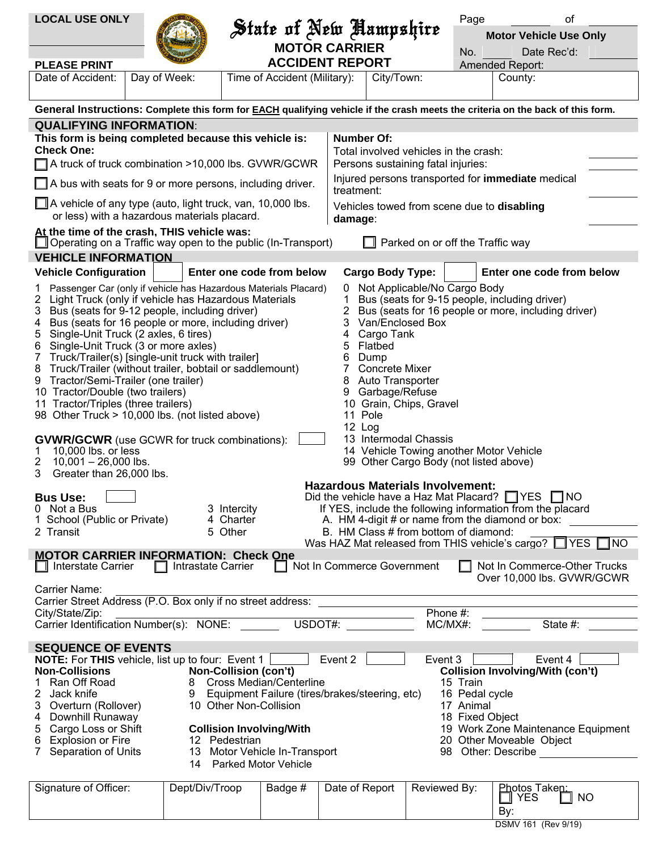| <b>LOCAL USE ONLY</b>                                                                                                                                                                  |                              |                                                          |                   |                                                                             |                                | Page                                                     | οf                                                                                                   |  |  |
|----------------------------------------------------------------------------------------------------------------------------------------------------------------------------------------|------------------------------|----------------------------------------------------------|-------------------|-----------------------------------------------------------------------------|--------------------------------|----------------------------------------------------------|------------------------------------------------------------------------------------------------------|--|--|
|                                                                                                                                                                                        |                              | State of New Hampshire                                   |                   |                                                                             |                                | <b>Motor Vehicle Use Only</b>                            |                                                                                                      |  |  |
|                                                                                                                                                                                        |                              | <b>MOTOR CARRIER</b>                                     |                   |                                                                             |                                | No.                                                      | Date Rec'd:                                                                                          |  |  |
| <b>PLEASE PRINT</b>                                                                                                                                                                    |                              | <b>ACCIDENT REPORT</b>                                   |                   |                                                                             |                                |                                                          | Amended Report:                                                                                      |  |  |
| Date of Accident:                                                                                                                                                                      | Day of Week:                 | Time of Accident (Military):                             |                   | City/Town:                                                                  |                                |                                                          | County:                                                                                              |  |  |
| General Instructions: Complete this form for <b>EACH</b> qualifying vehicle if the crash meets the criteria on the back of this form.                                                  |                              |                                                          |                   |                                                                             |                                |                                                          |                                                                                                      |  |  |
| <b>QUALIFYING INFORMATION:</b>                                                                                                                                                         |                              |                                                          |                   |                                                                             |                                |                                                          |                                                                                                      |  |  |
| This form is being completed because this vehicle is:                                                                                                                                  |                              |                                                          | <b>Number Of:</b> |                                                                             |                                |                                                          |                                                                                                      |  |  |
| <b>Check One:</b>                                                                                                                                                                      |                              |                                                          |                   | Total involved vehicles in the crash:<br>Persons sustaining fatal injuries: |                                |                                                          |                                                                                                      |  |  |
| A truck of truck combination >10,000 lbs. GVWR/GCWR                                                                                                                                    |                              |                                                          |                   |                                                                             |                                | Injured persons transported for <i>immediate</i> medical |                                                                                                      |  |  |
| A bus with seats for 9 or more persons, including driver.<br>$\Box$ A vehicle of any type (auto, light truck, van, 10,000 lbs.                                                         |                              | treatment:<br>Vehicles towed from scene due to disabling |                   |                                                                             |                                |                                                          |                                                                                                      |  |  |
| or less) with a hazardous materials placard.                                                                                                                                           |                              |                                                          | damage:           |                                                                             |                                |                                                          |                                                                                                      |  |  |
| At the time of the crash, THIS vehicle was:<br>$\Box$ Operating on a Traffic way open to the public (In-Transport)<br>Parked on or off the Traffic way                                 |                              |                                                          |                   |                                                                             |                                |                                                          |                                                                                                      |  |  |
| <b>VEHICLE INFORMATION</b>                                                                                                                                                             |                              |                                                          |                   |                                                                             |                                |                                                          |                                                                                                      |  |  |
| <b>Vehicle Configuration</b>                                                                                                                                                           |                              | Enter one code from below                                |                   | <b>Cargo Body Type:</b>                                                     |                                |                                                          | Enter one code from below                                                                            |  |  |
| Passenger Car (only if vehicle has Hazardous Materials Placard)                                                                                                                        |                              |                                                          |                   |                                                                             | 0 Not Applicable/No Cargo Body |                                                          |                                                                                                      |  |  |
| $\overline{2}$<br>Light Truck (only if vehicle has Hazardous Materials<br>Bus (seats for 9-12 people, including driver)<br>3                                                           |                              |                                                          | 1                 |                                                                             |                                |                                                          | Bus (seats for 9-15 people, including driver)<br>Bus (seats for 16 people or more, including driver) |  |  |
| Bus (seats for 16 people or more, including driver)<br>4                                                                                                                               |                              |                                                          | 3.                | Van/Enclosed Box                                                            |                                |                                                          |                                                                                                      |  |  |
| Single-Unit Truck (2 axles, 6 tires)<br>5                                                                                                                                              |                              |                                                          |                   | Cargo Tank                                                                  |                                |                                                          |                                                                                                      |  |  |
| Single-Unit Truck (3 or more axles)<br>6<br>Truck/Trailer(s) [single-unit truck with trailer]<br>$\mathbf{7}$                                                                          |                              |                                                          | 5<br>6            | Flatbed<br>Dump                                                             |                                |                                                          |                                                                                                      |  |  |
| Truck/Trailer (without trailer, bobtail or saddlemount)<br>8                                                                                                                           |                              |                                                          |                   | Concrete Mixer                                                              |                                |                                                          |                                                                                                      |  |  |
| 9 Tractor/Semi-Trailer (one trailer)                                                                                                                                                   |                              |                                                          |                   | Auto Transporter                                                            |                                |                                                          |                                                                                                      |  |  |
| 10 Tractor/Double (two trailers)<br>11 Tractor/Triples (three trailers)                                                                                                                |                              |                                                          | 9                 | Garbage/Refuse                                                              | 10 Grain, Chips, Gravel        |                                                          |                                                                                                      |  |  |
| 98 Other Truck > 10,000 lbs. (not listed above)                                                                                                                                        |                              |                                                          | 11 Pole           |                                                                             |                                |                                                          |                                                                                                      |  |  |
| 12 Log                                                                                                                                                                                 |                              |                                                          |                   |                                                                             |                                |                                                          |                                                                                                      |  |  |
| 13 Intermodal Chassis<br><b>GVWR/GCWR</b> (use GCWR for truck combinations):                                                                                                           |                              |                                                          |                   |                                                                             |                                |                                                          |                                                                                                      |  |  |
| 10,000 lbs. or less<br>14 Vehicle Towing another Motor Vehicle<br>2<br>$10,001 - 26,000$ lbs.<br>99 Other Cargo Body (not listed above)                                                |                              |                                                          |                   |                                                                             |                                |                                                          |                                                                                                      |  |  |
| 3<br>Greater than 26,000 lbs.                                                                                                                                                          |                              |                                                          |                   |                                                                             |                                |                                                          |                                                                                                      |  |  |
| <b>Hazardous Materials Involvement:</b><br>Did the vehicle have a Haz Mat Placard? $\Box$ YES $\Box$ NO<br>┍                                                                           |                              |                                                          |                   |                                                                             |                                |                                                          |                                                                                                      |  |  |
| <b>Bus Use:</b><br>If YES, include the following information from the placard<br>0 Not a Bus<br>3 Intercity                                                                            |                              |                                                          |                   |                                                                             |                                |                                                          |                                                                                                      |  |  |
| A. HM 4-digit # or name from the diamond or box:<br>1 School (Public or Private)<br>4 Charter                                                                                          |                              |                                                          |                   |                                                                             |                                |                                                          |                                                                                                      |  |  |
| B. HM Class # from bottom of diamond:<br>5 Other<br>2 Transit<br>Was HAZ Mat released from THIS vehicle's cargo? $\Box$ YES $\Box$ NO                                                  |                              |                                                          |                   |                                                                             |                                |                                                          |                                                                                                      |  |  |
| <b>MOTOR CARRIER INFORMATION: Check One</b>                                                                                                                                            |                              |                                                          |                   |                                                                             |                                |                                                          |                                                                                                      |  |  |
| $\Box$ Interstate Carrier $\Box$ Intrastate Carrier<br>$\Box$ Not In Commerce Government<br>Not In Commerce-Other Trucks<br>. .<br>Over 10,000 lbs. GVWR/GCWR                          |                              |                                                          |                   |                                                                             |                                |                                                          |                                                                                                      |  |  |
| Carrier Name:                                                                                                                                                                          |                              |                                                          |                   |                                                                             |                                |                                                          |                                                                                                      |  |  |
|                                                                                                                                                                                        |                              |                                                          |                   |                                                                             |                                |                                                          |                                                                                                      |  |  |
| City/State/Zip.<br>Carrier Identification Number(s): NONE: ________ USDOT#: __________                                                                                                 |                              |                                                          |                   |                                                                             |                                |                                                          | State #:                                                                                             |  |  |
| <b>SEQUENCE OF EVENTS</b>                                                                                                                                                              |                              |                                                          |                   |                                                                             |                                |                                                          |                                                                                                      |  |  |
| <b>NOTE:</b> For THIS vehicle, list up to four: Event 1                                                                                                                                |                              |                                                          | Event 2           |                                                                             |                                | Event $3$                                                | Event 4                                                                                              |  |  |
| <b>Non-Collisions</b>                                                                                                                                                                  | <b>Non-Collision (con't)</b> |                                                          |                   |                                                                             |                                |                                                          | <b>Collision Involving/With (con't)</b>                                                              |  |  |
| 8 Cross Median/Centerline<br>Ran Off Road<br>15 Train<br>1.                                                                                                                            |                              |                                                          |                   |                                                                             |                                |                                                          |                                                                                                      |  |  |
| Jack knife<br>Equipment Failure (tires/brakes/steering, etc)<br>16 Pedal cycle<br>$\mathbf{2}^{\prime}$<br>9<br>10 Other Non-Collision<br>3 Overturn (Rollover)<br>17 Animal           |                              |                                                          |                   |                                                                             |                                |                                                          |                                                                                                      |  |  |
| Downhill Runaway<br>18 Fixed Object<br>4                                                                                                                                               |                              |                                                          |                   |                                                                             |                                |                                                          |                                                                                                      |  |  |
| Cargo Loss or Shift<br><b>Collision Involving/With</b><br>19 Work Zone Maintenance Equipment<br>5                                                                                      |                              |                                                          |                   |                                                                             |                                |                                                          |                                                                                                      |  |  |
| <b>Explosion or Fire</b><br>20 Other Moveable Object<br>12 Pedestrian<br>6<br>Separation of Units<br>13 Motor Vehicle In-Transport<br>98 Other: Describe <b>Sandware Strategy</b><br>7 |                              |                                                          |                   |                                                                             |                                |                                                          |                                                                                                      |  |  |
| 14 Parked Motor Vehicle                                                                                                                                                                |                              |                                                          |                   |                                                                             |                                |                                                          |                                                                                                      |  |  |
| Signature of Officer:                                                                                                                                                                  | Dept/Div/Troop               | Badge#                                                   | Date of Report    |                                                                             | Reviewed By:                   |                                                          | Photos Taken:                                                                                        |  |  |
|                                                                                                                                                                                        |                              |                                                          |                   |                                                                             |                                |                                                          | $\Box$ YES<br>NO.<br>By:                                                                             |  |  |